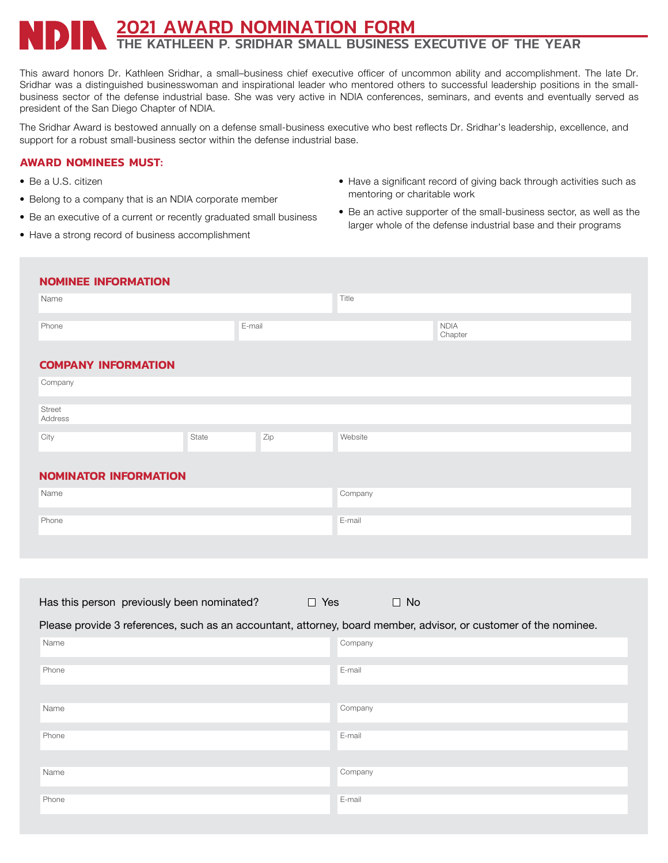## 2021 AWARD NOMINATION FORM THE KATHLEEN P. SRIDHAR SMALL BUSINESS EXECUTIVE OF THE YEAR

This award honors Dr. Kathleen Sridhar, a small–business chief executive officer of uncommon ability and accomplishment. The late Dr. Sridhar was a distinguished businesswoman and inspirational leader who mentored others to successful leadership positions in the smallbusiness sector of the defense industrial base. She was very active in NDIA conferences, seminars, and events and eventually served as president of the San Diego Chapter of NDIA.

The Sridhar Award is bestowed annually on a defense small-business executive who best reflects Dr. Sridhar's leadership, excellence, and support for a robust small-business sector within the defense industrial base.

## **AWARD NOMINEES MUST:**

- Be a U.S. citizen
- Belong to a company that is an NDIA corporate member
- Be an executive of a current or recently graduated small business
- Have a strong record of business accomplishment
- Have a significant record of giving back through activities such as mentoring or charitable work
- Be an active supporter of the small-business sector, as well as the larger whole of the defense industrial base and their programs

## **NOMINEE INFORMATION**

| Name                         |       |        | Title   |                        |  |  |
|------------------------------|-------|--------|---------|------------------------|--|--|
| Phone                        |       | E-mail |         | <b>NDIA</b><br>Chapter |  |  |
| <b>COMPANY INFORMATION</b>   |       |        |         |                        |  |  |
| Company                      |       |        |         |                        |  |  |
| Street<br>Address            |       |        |         |                        |  |  |
| City                         | State | Zip    | Website |                        |  |  |
| <b>NOMINATOR INFORMATION</b> |       |        |         |                        |  |  |
| Name                         |       |        | Company |                        |  |  |
| Phone                        |       |        | E-mail  |                        |  |  |
|                              |       |        |         |                        |  |  |
|                              |       |        |         |                        |  |  |

|  | Has this person previously been nominated? | $\Box$ Yes | $\Box$ No |
|--|--------------------------------------------|------------|-----------|
|--|--------------------------------------------|------------|-----------|

Please provide 3 references, such as an accountant, attorney, board member, advisor, or customer of the nominee.

| Name  | Company |
|-------|---------|
| Phone | E-mail  |
|       |         |
| Name  | Company |
| Phone | E-mail  |
|       |         |
|       |         |
| Name  | Company |
| Phone | E-mail  |
|       |         |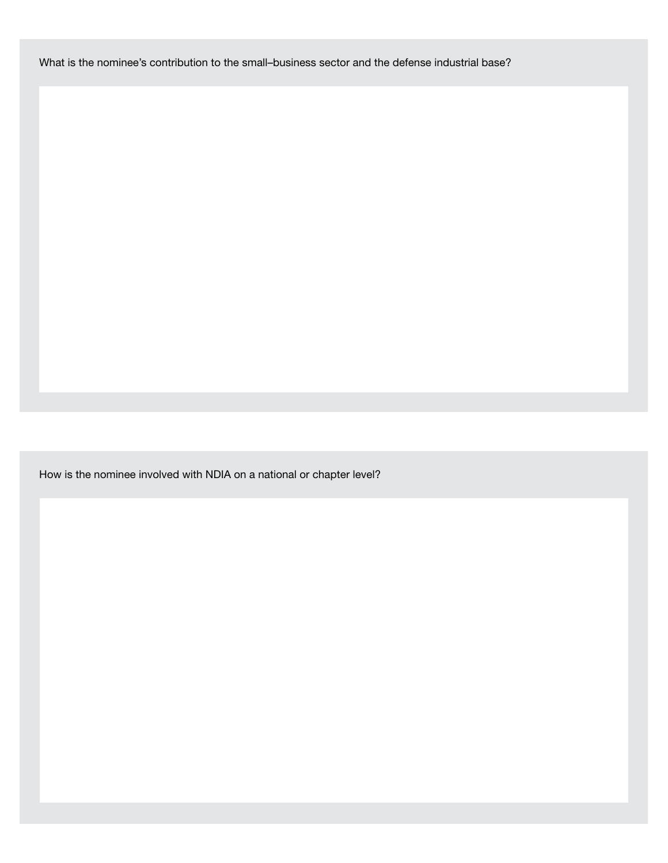What is the nominee's contribution to the small–business sector and the defense industrial base?

How is the nominee involved with NDIA on a national or chapter level?